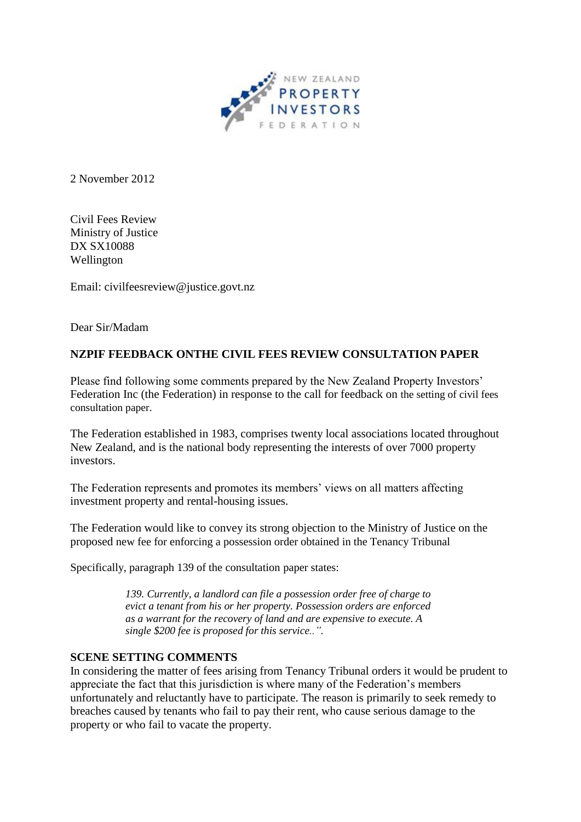

2 November 2012

Civil Fees Review Ministry of Justice DX SX10088 Wellington

Email: [civilfeesreview@justice.govt.nz](mailto:civilfeesreview@justice.govt.nz)

Dear Sir/Madam

## **NZPIF FEEDBACK ONTHE CIVIL FEES REVIEW CONSULTATION PAPER**

Please find following some comments prepared by the New Zealand Property Investors' Federation Inc (the Federation) in response to the call for feedback on the setting of civil fees consultation paper.

The Federation established in 1983, comprises twenty local associations located throughout New Zealand, and is the national body representing the interests of over 7000 property investors.

The Federation represents and promotes its members' views on all matters affecting investment property and rental-housing issues.

The Federation would like to convey its strong objection to the Ministry of Justice on the proposed new fee for enforcing a possession order obtained in the Tenancy Tribunal

Specifically, paragraph 139 of the consultation paper states:

*139. Currently, a landlord can file a possession order free of charge to evict a tenant from his or her property. Possession orders are enforced as a warrant for the recovery of land and are expensive to execute. A single \$200 fee is proposed for this service..".* 

## **SCENE SETTING COMMENTS**

In considering the matter of fees arising from Tenancy Tribunal orders it would be prudent to appreciate the fact that this jurisdiction is where many of the Federation's members unfortunately and reluctantly have to participate. The reason is primarily to seek remedy to breaches caused by tenants who fail to pay their rent, who cause serious damage to the property or who fail to vacate the property.